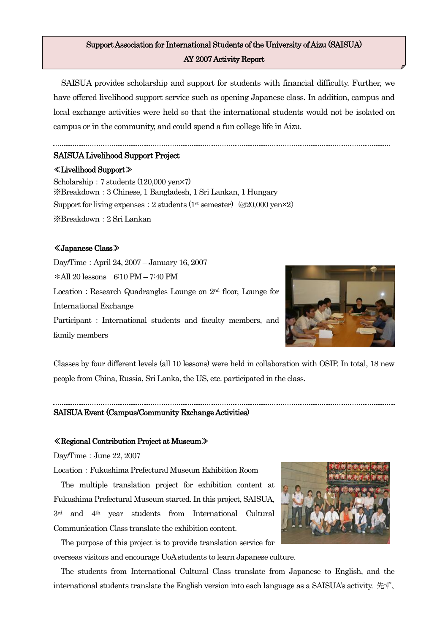# Support Association for International Students of the University of Aizu (SAISUA) AY 2007 Activity Report

SAISUA provides scholarship and support for students with financial difficulty. Further, we have offered livelihood support service such as opening Japanese class. In addition, campus and local exchange activities were held so that the international students would not be isolated on campus or in the community, and could spend a fun college life in Aizu.

# SAISUA Livelihood Support Project

#### ≪Livelihood Support≫

Scholarship:7 students (120,000 yen×7) ※Breakdown:3 Chinese, 1 Bangladesh, 1 Sri Lankan, 1 Hungary Support for living expenses: 2 students (1st semester)  $(Q20,000 \text{ yen} \times 2)$ ※Breakdown:2 Sri Lankan

# ≪Japanese Class≫

Day/Time:April 24, 2007 – January 16, 2007 \*All 20 lessons 6:10 PM – 7:40 PM Location: Research Quadrangles Lounge on 2<sup>nd</sup> floor, Lounge for International Exchange Participant: International students and faculty members, and family members



Classes by four different levels (all 10 lessons) were held in collaboration with OSIP. In total, 18 new people from China, Russia, Sri Lanka, the US, etc. participated in the class.

# SAISUA Event (Campus/Community Exchange Activities)

#### ≪Regional Contribution Project at Museum≫

Day/Time:June 22, 2007

Location:Fukushima Prefectural Museum Exhibition Room

The multiple translation project for exhibition content at Fukushima Prefectural Museum started. In this project, SAISUA, 3rd and 4th year students from International Cultural Communication Class translate the exhibition content.

The purpose of this project is to provide translation service for overseas visitors and encourage UoA students to learn Japanese culture.

The students from International Cultural Class translate from Japanese to English, and the international students translate the English version into each language as a SAISUA's activity. 先ず、

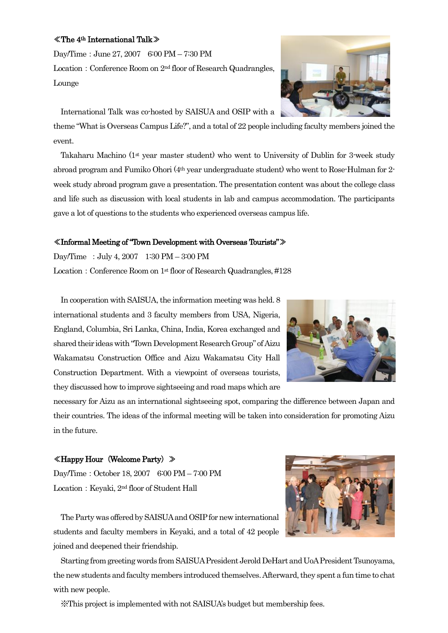### ≪The 4th International Talk≫

Day/Time:June 27, 2007 6:00 PM – 7:30 PM Location: Conference Room on 2<sup>nd</sup> floor of Research Quadrangles, Lounge

International Talk was co-hosted by SAISUA and OSIP with a

theme "What is Overseas Campus Life?", and a total of 22 people including faculty members joined the

event. Takaharu Machino ( $1<sup>st</sup>$  year master student) who went to University of Dublin for 3-week study

abroad program and Fumiko Ohori (4th year undergraduate student) who went to Rose-Hulman for 2 week study abroad program gave a presentation. The presentation content was about the college class and life such as discussion with local students in lab and campus accommodation. The participants gave a lot of questions to the students who experienced overseas campus life.

## ≪Informal Meeting of "Town Development with Overseas Tourists"≫

Day/Time :July 4, 2007 1:30 PM – 3:00 PM

Location: Conference Room on 1<sup>st</sup> floor of Research Quadrangles, #128

In cooperation with SAISUA, the information meeting was held. 8 international students and 3 faculty members from USA, Nigeria, England, Columbia, Sri Lanka, China, India, Korea exchanged and shared their ideas with "Town Development Research Group" of Aizu Wakamatsu Construction Office and Aizu Wakamatsu City Hall Construction Department. With a viewpoint of overseas tourists, they discussed how to improve sightseeing and road maps which are

necessary for Aizu as an international sightseeing spot, comparing the difference between Japan and their countries. The ideas of the informal meeting will be taken into consideration for promoting Aizu in the future.

## ≪Happy Hour(Welcome Party)≫

Day/Time:October 18, 2007 6:00 PM – 7:00 PM Location: Keyaki, 2<sup>nd</sup> floor of Student Hall

The Party was offered by SAISUAand OSIP fornew international students and faculty members in Keyaki, and a total of 42 people joined and deepened their friendship.

Starting from greeting words from SAISUAPresident Jerold DeHartand UoA President Tsunoyama, the new students and faculty members introduced themselves. Afterward, they spent a fun time to chat with new people.

※This project is implemented with not SAISUA's budget but membership fees.